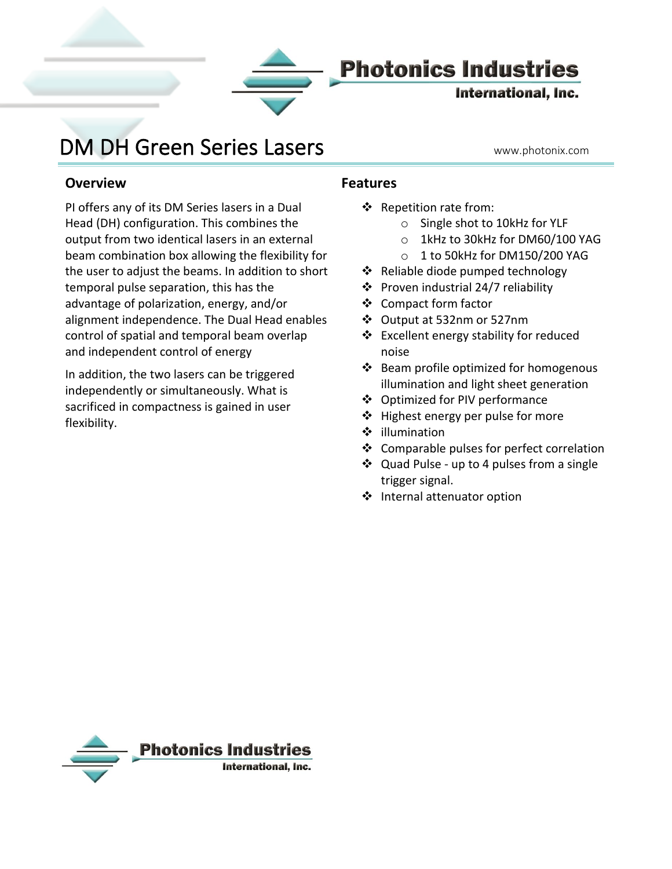

## **Photonics Industries**

International, Inc.

# DM DH Green Series Lasers Warehotonix.com

**Overview**

Į

PI offers any of its DM Series lasers in a Dual Head (DH) configuration. This combines the output from two identical lasers in an external beam combination box allowing the flexibility for the user to adjust the beams. In addition to short temporal pulse separation, this has the advantage of polarization, energy, and/or alignment independence. The Dual Head enables control of spatial and temporal beam overlap and independent control of energy

In addition, the two lasers can be triggered independently or simultaneously. What is sacrificed in compactness is gained in user flexibility.

#### **Features**

- ❖ Repetition rate from:
	- o Single shot to 10kHz for YLF
	- o 1kHz to 30kHz for DM60/100 YAG
	- o 1 to 50kHz for DM150/200 YAG
- ❖ Reliable diode pumped technology
- ❖ Proven industrial 24/7 reliability
- ❖ Compact form factor
- ❖ Output at 532nm or 527nm
- ❖ Excellent energy stability for reduced noise
- ❖ Beam profile optimized for homogenous illumination and light sheet generation
- ❖ Optimized for PIV performance
- ❖ Highest energy per pulse for more
- ❖ illumination
- ❖ Comparable pulses for perfect correlation
- ❖ Quad Pulse up to 4 pulses from a single trigger signal.
- ❖ Internal attenuator option

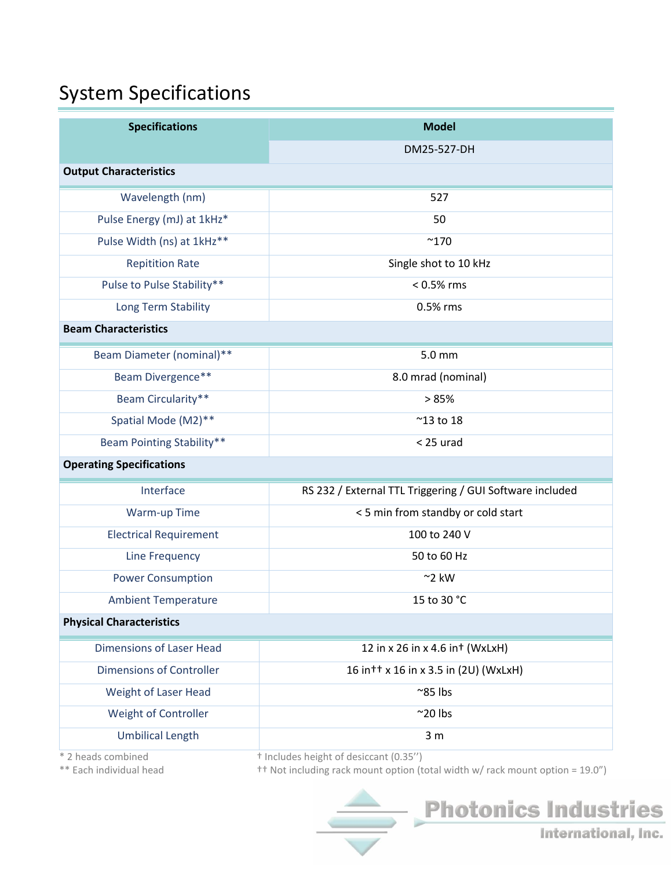# System Specifications

| <b>Specifications</b>            | <b>Model</b>                                             |
|----------------------------------|----------------------------------------------------------|
|                                  | DM25-527-DH                                              |
| <b>Output Characteristics</b>    |                                                          |
| Wavelength (nm)                  | 527                                                      |
| Pulse Energy (mJ) at 1kHz*       | 50                                                       |
| Pulse Width (ns) at 1kHz**       | $^{\sim}$ 170                                            |
| <b>Repitition Rate</b>           | Single shot to 10 kHz                                    |
| Pulse to Pulse Stability**       | $< 0.5\%$ rms                                            |
| Long Term Stability              | 0.5% rms                                                 |
| <b>Beam Characteristics</b>      |                                                          |
| Beam Diameter (nominal)**        | 5.0 mm                                                   |
| Beam Divergence**                | 8.0 mrad (nominal)                                       |
| Beam Circularity**               | >85%                                                     |
| Spatial Mode (M2)**              | $^{\sim}$ 13 to 18                                       |
| <b>Beam Pointing Stability**</b> | $<$ 25 urad                                              |
| <b>Operating Specifications</b>  |                                                          |
| Interface                        | RS 232 / External TTL Triggering / GUI Software included |
| Warm-up Time                     | < 5 min from standby or cold start                       |
| <b>Electrical Requirement</b>    | 100 to 240 V                                             |
| <b>Line Frequency</b>            | 50 to 60 Hz                                              |
| <b>Power Consumption</b>         | $~2$ kW                                                  |
| <b>Ambient Temperature</b>       | 15 to 30 °C                                              |
| <b>Physical Characteristics</b>  |                                                          |
| <b>Dimensions of Laser Head</b>  | 12 in x 26 in x 4.6 in + (WxLxH)                         |
| <b>Dimensions of Controller</b>  | 16 in + + x 16 in x 3.5 in (2U) (WxLxH)                  |
| Weight of Laser Head             | $^{\sim}85$ lbs                                          |
| Weight of Controller             | $^{\sim}$ 20 lbs                                         |
| <b>Umbilical Length</b>          | 3 <sub>m</sub>                                           |
| * 2 heads combined               | <sup>+</sup> Includes height of desiccant (0.35")        |

\*\* Each individual head †† Not including rack mount option (total width w/ rack mount option = 19.0")

International, Inc.